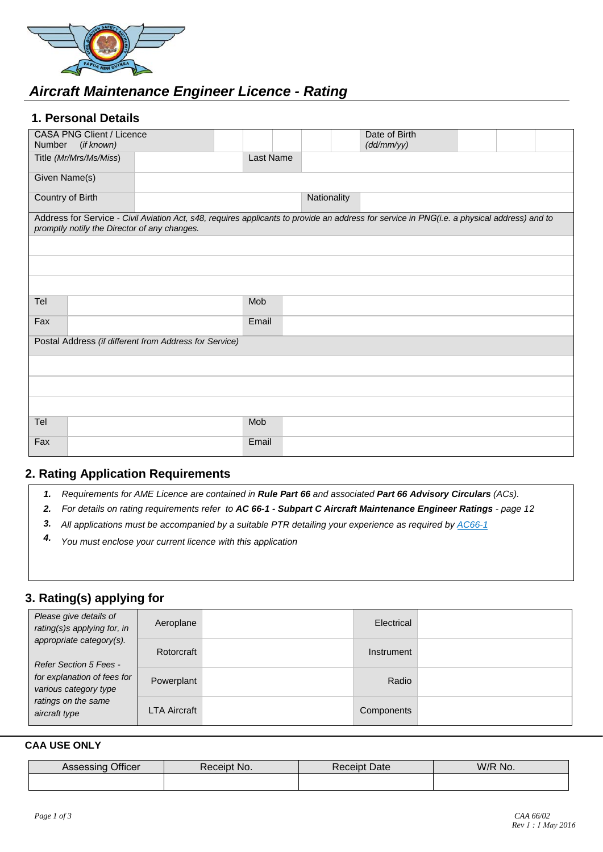

# *Aircraft Maintenance Engineer Licence - Rating*

### **1. Personal Details**

| <b>CASA PNG Client / Licence</b><br>Number<br>(if known)                                                                                                                                    |           |             | Date of Birth<br>(dd/mm/yy) |  |  |
|---------------------------------------------------------------------------------------------------------------------------------------------------------------------------------------------|-----------|-------------|-----------------------------|--|--|
| Title (Mr/Mrs/Ms/Miss)                                                                                                                                                                      | Last Name |             |                             |  |  |
| Given Name(s)                                                                                                                                                                               |           |             |                             |  |  |
| Country of Birth                                                                                                                                                                            |           | Nationality |                             |  |  |
| Address for Service - Civil Aviation Act, s48, requires applicants to provide an address for service in PNG(i.e. a physical address) and to<br>promptly notify the Director of any changes. |           |             |                             |  |  |
|                                                                                                                                                                                             |           |             |                             |  |  |
|                                                                                                                                                                                             |           |             |                             |  |  |
|                                                                                                                                                                                             |           |             |                             |  |  |
| Tel                                                                                                                                                                                         | Mob       |             |                             |  |  |
| Fax                                                                                                                                                                                         | Email     |             |                             |  |  |
| Postal Address (if different from Address for Service)                                                                                                                                      |           |             |                             |  |  |
|                                                                                                                                                                                             |           |             |                             |  |  |
|                                                                                                                                                                                             |           |             |                             |  |  |
|                                                                                                                                                                                             |           |             |                             |  |  |
| Tel                                                                                                                                                                                         | Mob       |             |                             |  |  |
| Fax                                                                                                                                                                                         | Email     |             |                             |  |  |

### **2. Rating Application Requirements**

- *1. Requirements for AME Licence are contained in Rule Part 66 and associated Part 66 Advisory Circulars (ACs).*
- *2. For details on rating requirements refer to AC 66-1 Subpart C Aircraft Maintenance Engineer Ratings page 12*
- *3. All ap[plications](http://www.caa.govt.nz/Advisory_Circulars/AC66_1.pdf) must be accompanied by a suitable PTR detailing your experience as required by [AC66-1](https://casapng.gov.pg/wp-content/uploads/2018/06/ac-66_1-Aircraft-Maintenance-Engineer-Licensing-General.pdf)*
- *4. You must enclose your current licence with this appli[cation](http://www.caa.govt.nz/)*

## **3. Rating(s) applying for**

| Please give details of<br>rating(s)s applying for, in                                                                                              | Aeroplane           | Electrical |  |
|----------------------------------------------------------------------------------------------------------------------------------------------------|---------------------|------------|--|
| appropriate category(s).<br>Refer Section 5 Fees -<br>for explanation of fees for<br>various category type<br>ratings on the same<br>aircraft type | Rotorcraft          | Instrument |  |
|                                                                                                                                                    | Powerplant          | Radio      |  |
|                                                                                                                                                    | <b>LTA Aircraft</b> | Components |  |

#### **CAA USE ONLY**

| Officer           | No.     | Date    | W/R No. |  |  |
|-------------------|---------|---------|---------|--|--|
| <b>HOSESSILIY</b> | ≺eceıpt | Receipt |         |  |  |
|                   |         |         |         |  |  |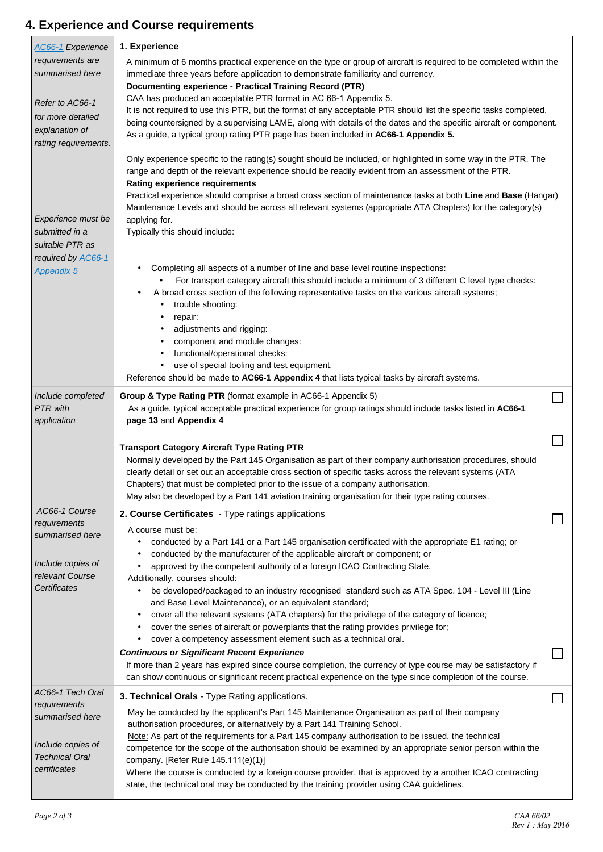# **4. Experience and Course requirements**

| <b>AC66-1</b> Experience                                   | 1. Experience                                                                                                                                                                                                                                                                                                                                                                                                                                                                                                     |                             |
|------------------------------------------------------------|-------------------------------------------------------------------------------------------------------------------------------------------------------------------------------------------------------------------------------------------------------------------------------------------------------------------------------------------------------------------------------------------------------------------------------------------------------------------------------------------------------------------|-----------------------------|
| requirements are<br>summarised here                        | A minimum of 6 months practical experience on the type or group of aircraft is required to be completed within the<br>immediate three years before application to demonstrate familiarity and currency.<br>Documenting experience - Practical Training Record (PTR)                                                                                                                                                                                                                                               |                             |
| Refer to AC66-1                                            | CAA has produced an acceptable PTR format in AC 66-1 Appendix 5.                                                                                                                                                                                                                                                                                                                                                                                                                                                  |                             |
| for more detailed                                          | It is not required to use this PTR, but the format of any acceptable PTR should list the specific tasks completed,                                                                                                                                                                                                                                                                                                                                                                                                |                             |
| explanation of                                             | being countersigned by a supervising LAME, along with details of the dates and the specific aircraft or component.<br>As a guide, a typical group rating PTR page has been included in AC66-1 Appendix 5.                                                                                                                                                                                                                                                                                                         |                             |
| rating requirements.                                       |                                                                                                                                                                                                                                                                                                                                                                                                                                                                                                                   |                             |
| Experience must be                                         | Only experience specific to the rating(s) sought should be included, or highlighted in some way in the PTR. The<br>range and depth of the relevant experience should be readily evident from an assessment of the PTR.<br><b>Rating experience requirements</b><br>Practical experience should comprise a broad cross section of maintenance tasks at both Line and Base (Hangar)<br>Maintenance Levels and should be across all relevant systems (appropriate ATA Chapters) for the category(s)<br>applying for. |                             |
| submitted in a<br>suitable PTR as                          | Typically this should include:                                                                                                                                                                                                                                                                                                                                                                                                                                                                                    |                             |
| required by AC66-1<br><b>Appendix 5</b>                    | Completing all aspects of a number of line and base level routine inspections:<br>For transport category aircraft this should include a minimum of 3 different C level type checks:<br>A broad cross section of the following representative tasks on the various aircraft systems;<br>trouble shooting:<br>repair:<br>adjustments and rigging:<br>component and module changes:<br>functional/operational checks:                                                                                                |                             |
|                                                            | use of special tooling and test equipment.                                                                                                                                                                                                                                                                                                                                                                                                                                                                        |                             |
|                                                            | Reference should be made to AC66-1 Appendix 4 that lists typical tasks by aircraft systems.                                                                                                                                                                                                                                                                                                                                                                                                                       |                             |
| Include completed<br><b>PTR</b> with<br>application        | Group & Type Rating PTR (format example in AC66-1 Appendix 5)<br>As a guide, typical acceptable practical experience for group ratings should include tasks listed in AC66-1<br>page 13 and Appendix 4                                                                                                                                                                                                                                                                                                            | $\mathcal{L}_{\mathcal{A}}$ |
|                                                            |                                                                                                                                                                                                                                                                                                                                                                                                                                                                                                                   |                             |
|                                                            | <b>Transport Category Aircraft Type Rating PTR</b><br>Normally developed by the Part 145 Organisation as part of their company authorisation procedures, should<br>clearly detail or set out an acceptable cross section of specific tasks across the relevant systems (ATA<br>Chapters) that must be completed prior to the issue of a company authorisation.<br>May also be developed by a Part 141 aviation training organisation for their type rating courses.                                               |                             |
| AC66-1 Course<br>requirements                              | 2. Course Certificates - Type ratings applications<br>A course must be:                                                                                                                                                                                                                                                                                                                                                                                                                                           |                             |
| summarised here<br>Include copies of<br>relevant Course    | conducted by a Part 141 or a Part 145 organisation certificated with the appropriate E1 rating; or<br>conducted by the manufacturer of the applicable aircraft or component; or<br>approved by the competent authority of a foreign ICAO Contracting State.<br>Additionally, courses should:                                                                                                                                                                                                                      |                             |
| Certificates                                               | be developed/packaged to an industry recognised standard such as ATA Spec. 104 - Level III (Line<br>and Base Level Maintenance), or an equivalent standard;<br>cover all the relevant systems (ATA chapters) for the privilege of the category of licence;<br>cover the series of aircraft or powerplants that the rating provides privilege for;<br>cover a competency assessment element such as a technical oral.                                                                                              |                             |
|                                                            | <b>Continuous or Significant Recent Experience</b><br>If more than 2 years has expired since course completion, the currency of type course may be satisfactory if<br>can show continuous or significant recent practical experience on the type since completion of the course.                                                                                                                                                                                                                                  |                             |
| AC66-1 Tech Oral                                           | 3. Technical Orals - Type Rating applications.                                                                                                                                                                                                                                                                                                                                                                                                                                                                    |                             |
| requirements<br>summarised here                            | May be conducted by the applicant's Part 145 Maintenance Organisation as part of their company<br>authorisation procedures, or alternatively by a Part 141 Training School.                                                                                                                                                                                                                                                                                                                                       |                             |
| Include copies of<br><b>Technical Oral</b><br>certificates | Note: As part of the requirements for a Part 145 company authorisation to be issued, the technical<br>competence for the scope of the authorisation should be examined by an appropriate senior person within the<br>company. [Refer Rule 145.111(e)(1)]<br>Where the course is conducted by a foreign course provider, that is approved by a another ICAO contracting                                                                                                                                            |                             |
|                                                            | state, the technical oral may be conducted by the training provider using CAA guidelines.                                                                                                                                                                                                                                                                                                                                                                                                                         |                             |